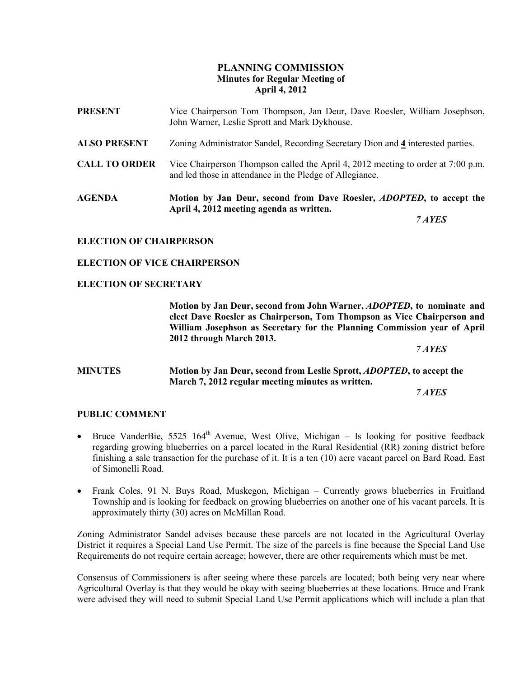# PLANNING COMMISSION Minutes for Regular Meeting of April 4, 2012

| <b>AGENDA</b>        | Motion by Jan Deur, second from Dave Roesler, <i>ADOPTED</i> , to accept the<br>April 4, 2012 meeting agenda as written.                     |
|----------------------|----------------------------------------------------------------------------------------------------------------------------------------------|
| <b>CALL TO ORDER</b> | Vice Chairperson Thompson called the April 4, 2012 meeting to order at 7:00 p.m.<br>and led those in attendance in the Pledge of Allegiance. |
| <b>ALSO PRESENT</b>  | Zoning Administrator Sandel, Recording Secretary Dion and 4 interested parties.                                                              |
| <b>PRESENT</b>       | Vice Chairperson Tom Thompson, Jan Deur, Dave Roesler, William Josephson,<br>John Warner, Leslie Sprott and Mark Dykhouse.                   |

7 AYES

#### ELECTION OF CHAIRPERSON

#### ELECTION OF VICE CHAIRPERSON

#### ELECTION OF SECRETARY

Motion by Jan Deur, second from John Warner, ADOPTED, to nominate and elect Dave Roesler as Chairperson, Tom Thompson as Vice Chairperson and William Josephson as Secretary for the Planning Commission year of April 2012 through March 2013.

7 AYES

## MINUTES Motion by Jan Deur, second from Leslie Sprott, ADOPTED, to accept the March 7, 2012 regular meeting minutes as written.

7 AYES

#### PUBLIC COMMENT

- Bruce VanderBie, 5525  $164<sup>th</sup>$  Avenue, West Olive, Michigan Is looking for positive feedback regarding growing blueberries on a parcel located in the Rural Residential (RR) zoning district before finishing a sale transaction for the purchase of it. It is a ten (10) acre vacant parcel on Bard Road, East of Simonelli Road.
- Frank Coles, 91 N. Buys Road, Muskegon, Michigan Currently grows blueberries in Fruitland Township and is looking for feedback on growing blueberries on another one of his vacant parcels. It is approximately thirty (30) acres on McMillan Road.

Zoning Administrator Sandel advises because these parcels are not located in the Agricultural Overlay District it requires a Special Land Use Permit. The size of the parcels is fine because the Special Land Use Requirements do not require certain acreage; however, there are other requirements which must be met.

Consensus of Commissioners is after seeing where these parcels are located; both being very near where Agricultural Overlay is that they would be okay with seeing blueberries at these locations. Bruce and Frank were advised they will need to submit Special Land Use Permit applications which will include a plan that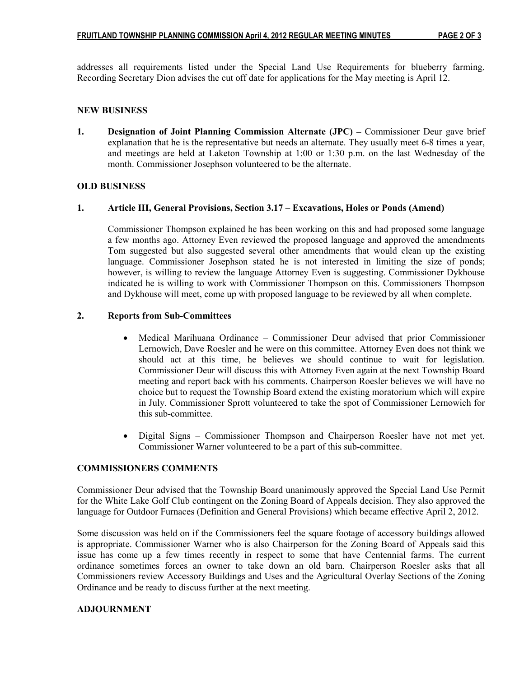addresses all requirements listed under the Special Land Use Requirements for blueberry farming. Recording Secretary Dion advises the cut off date for applications for the May meeting is April 12.

## NEW BUSINESS

1. Designation of Joint Planning Commission Alternate (JPC) – Commissioner Deur gave brief explanation that he is the representative but needs an alternate. They usually meet 6-8 times a year, and meetings are held at Laketon Township at 1:00 or 1:30 p.m. on the last Wednesday of the month. Commissioner Josephson volunteered to be the alternate.

## OLD BUSINESS

## 1. Article III, General Provisions, Section 3.17 – Excavations, Holes or Ponds (Amend)

Commissioner Thompson explained he has been working on this and had proposed some language a few months ago. Attorney Even reviewed the proposed language and approved the amendments Tom suggested but also suggested several other amendments that would clean up the existing language. Commissioner Josephson stated he is not interested in limiting the size of ponds; however, is willing to review the language Attorney Even is suggesting. Commissioner Dykhouse indicated he is willing to work with Commissioner Thompson on this. Commissioners Thompson and Dykhouse will meet, come up with proposed language to be reviewed by all when complete.

# 2. Reports from Sub-Committees

- Medical Marihuana Ordinance Commissioner Deur advised that prior Commissioner Lernowich, Dave Roesler and he were on this committee. Attorney Even does not think we should act at this time, he believes we should continue to wait for legislation. Commissioner Deur will discuss this with Attorney Even again at the next Township Board meeting and report back with his comments. Chairperson Roesler believes we will have no choice but to request the Township Board extend the existing moratorium which will expire in July. Commissioner Sprott volunteered to take the spot of Commissioner Lernowich for this sub-committee.
- Digital Signs Commissioner Thompson and Chairperson Roesler have not met yet. Commissioner Warner volunteered to be a part of this sub-committee.

## COMMISSIONERS COMMENTS

Commissioner Deur advised that the Township Board unanimously approved the Special Land Use Permit for the White Lake Golf Club contingent on the Zoning Board of Appeals decision. They also approved the language for Outdoor Furnaces (Definition and General Provisions) which became effective April 2, 2012.

Some discussion was held on if the Commissioners feel the square footage of accessory buildings allowed is appropriate. Commissioner Warner who is also Chairperson for the Zoning Board of Appeals said this issue has come up a few times recently in respect to some that have Centennial farms. The current ordinance sometimes forces an owner to take down an old barn. Chairperson Roesler asks that all Commissioners review Accessory Buildings and Uses and the Agricultural Overlay Sections of the Zoning Ordinance and be ready to discuss further at the next meeting.

## ADJOURNMENT